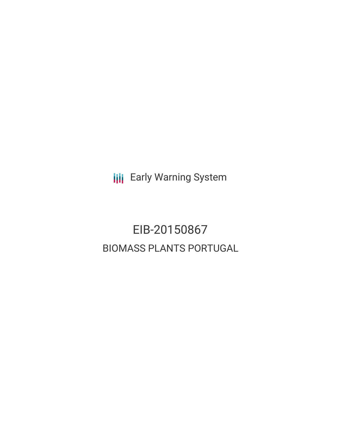**III** Early Warning System

# EIB-20150867 BIOMASS PLANTS PORTUGAL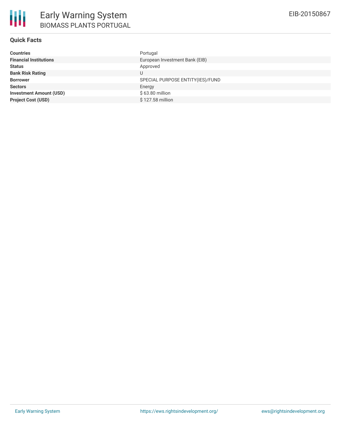| Countries                      | Portugal                         |
|--------------------------------|----------------------------------|
| <b>Financial Institutions</b>  | European Investment Bank (EIB)   |
| Status                         | Approved                         |
| <b>Bank Risk Rating</b>        | U                                |
| <b>Borrower</b>                | SPECIAL PURPOSE ENTITY(IES)/FUND |
| <b>Sectors</b>                 | Energy                           |
| <b>Investment Amount (USD)</b> | \$63.80 million                  |
| <b>Project Cost (USD)</b>      | \$127.58 million                 |
|                                |                                  |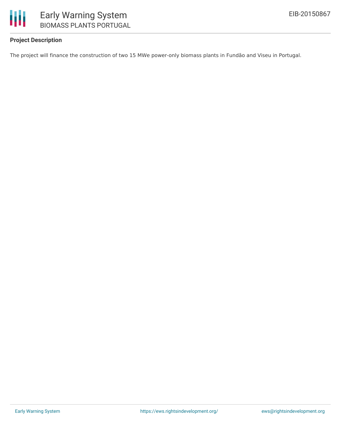

## Early Warning System BIOMASS PLANTS PORTUGAL

### **Project Description**

The project will finance the construction of two 15 MWe power-only biomass plants in Fundão and Viseu in Portugal.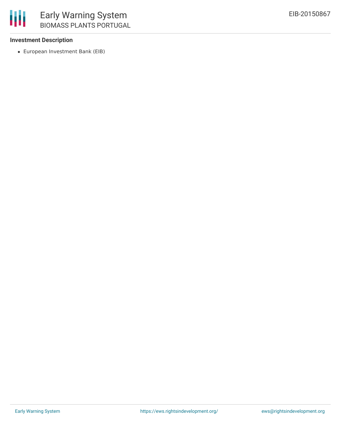

#### **Investment Description**

European Investment Bank (EIB)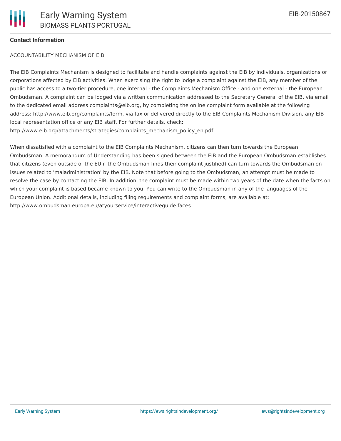#### **Contact Information**

#### ACCOUNTABILITY MECHANISM OF EIB

The EIB Complaints Mechanism is designed to facilitate and handle complaints against the EIB by individuals, organizations or corporations affected by EIB activities. When exercising the right to lodge a complaint against the EIB, any member of the public has access to a two-tier procedure, one internal - the Complaints Mechanism Office - and one external - the European Ombudsman. A complaint can be lodged via a written communication addressed to the Secretary General of the EIB, via email to the dedicated email address complaints@eib.org, by completing the online complaint form available at the following address: http://www.eib.org/complaints/form, via fax or delivered directly to the EIB Complaints Mechanism Division, any EIB local representation office or any EIB staff. For further details, check: http://www.eib.org/attachments/strategies/complaints\_mechanism\_policy\_en.pdf

When dissatisfied with a complaint to the EIB Complaints Mechanism, citizens can then turn towards the European Ombudsman. A memorandum of Understanding has been signed between the EIB and the European Ombudsman establishes that citizens (even outside of the EU if the Ombudsman finds their complaint justified) can turn towards the Ombudsman on issues related to 'maladministration' by the EIB. Note that before going to the Ombudsman, an attempt must be made to resolve the case by contacting the EIB. In addition, the complaint must be made within two years of the date when the facts on which your complaint is based became known to you. You can write to the Ombudsman in any of the languages of the European Union. Additional details, including filing requirements and complaint forms, are available at: http://www.ombudsman.europa.eu/atyourservice/interactiveguide.faces